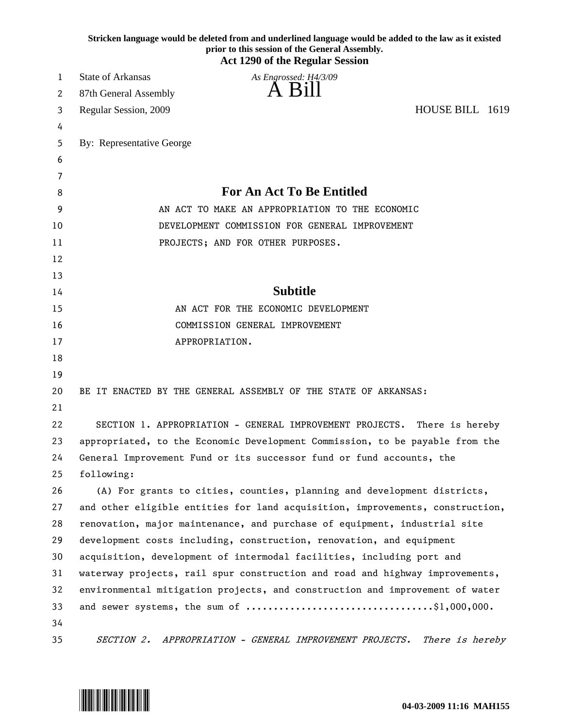|    | Stricken language would be deleted from and underlined language would be added to the law as it existed<br>prior to this session of the General Assembly.<br><b>Act 1290 of the Regular Session</b> |
|----|-----------------------------------------------------------------------------------------------------------------------------------------------------------------------------------------------------|
| 1  | <b>State of Arkansas</b><br>As Engrossed: H4/3/09                                                                                                                                                   |
| 2  | A Bill<br>87th General Assembly                                                                                                                                                                     |
| 3  | HOUSE BILL 1619<br>Regular Session, 2009                                                                                                                                                            |
| 4  |                                                                                                                                                                                                     |
| 5  | By: Representative George                                                                                                                                                                           |
| 6  |                                                                                                                                                                                                     |
| 7  |                                                                                                                                                                                                     |
| 8  | <b>For An Act To Be Entitled</b>                                                                                                                                                                    |
| 9  | AN ACT TO MAKE AN APPROPRIATION TO THE ECONOMIC                                                                                                                                                     |
| 10 | DEVELOPMENT COMMISSION FOR GENERAL IMPROVEMENT                                                                                                                                                      |
| 11 | PROJECTS; AND FOR OTHER PURPOSES.                                                                                                                                                                   |
| 12 |                                                                                                                                                                                                     |
| 13 |                                                                                                                                                                                                     |
| 14 | <b>Subtitle</b>                                                                                                                                                                                     |
| 15 | AN ACT FOR THE ECONOMIC DEVELOPMENT                                                                                                                                                                 |
| 16 | COMMISSION GENERAL IMPROVEMENT                                                                                                                                                                      |
| 17 | APPROPRIATION.                                                                                                                                                                                      |
| 18 |                                                                                                                                                                                                     |
| 19 |                                                                                                                                                                                                     |
| 20 | BE IT ENACTED BY THE GENERAL ASSEMBLY OF THE STATE OF ARKANSAS:                                                                                                                                     |
| 21 |                                                                                                                                                                                                     |
| 22 | SECTION 1. APPROPRIATION - GENERAL IMPROVEMENT PROJECTS.<br>There is hereby                                                                                                                         |
| 23 | appropriated, to the Economic Development Commission, to be payable from the                                                                                                                        |
| 24 | General Improvement Fund or its successor fund or fund accounts, the                                                                                                                                |
| 25 | following:                                                                                                                                                                                          |
| 26 | (A) For grants to cities, counties, planning and development districts,                                                                                                                             |
| 27 | and other eligible entities for land acquisition, improvements, construction,                                                                                                                       |
| 28 | renovation, major maintenance, and purchase of equipment, industrial site                                                                                                                           |
| 29 | development costs including, construction, renovation, and equipment                                                                                                                                |
| 30 | acquisition, development of intermodal facilities, including port and                                                                                                                               |
| 31 | waterway projects, rail spur construction and road and highway improvements,                                                                                                                        |
| 32 | environmental mitigation projects, and construction and improvement of water                                                                                                                        |
| 33 |                                                                                                                                                                                                     |
| 34 |                                                                                                                                                                                                     |
| 35 | APPROPRIATION - GENERAL IMPROVEMENT PROJECTS.<br>SECTION 2.<br>There is hereby                                                                                                                      |

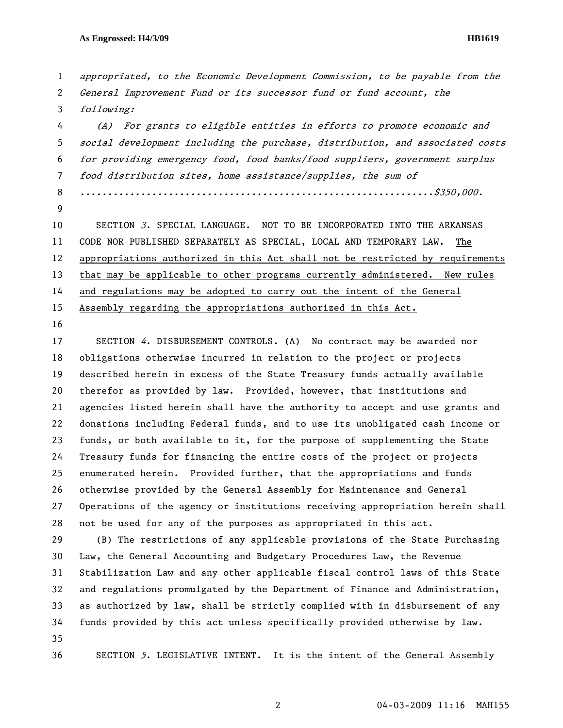## **As Engrossed: H4/3/09 HB1619**

2 General Improvement Fund or its successor fund or fund account, the 3 following: 4 (A) For grants to eligible entities in efforts to promote economic and 5 social development including the purchase, distribution, and associated costs 6 for providing emergency food, food banks/food suppliers, government surplus 7 food distribution sites, home assistance/supplies, the sum of 8 ................................................................\$350,000. 9 10 SECTION 3. SPECIAL LANGUAGE. NOT TO BE INCORPORATED INTO THE ARKANSAS 11 CODE NOR PUBLISHED SEPARATELY AS SPECIAL, LOCAL AND TEMPORARY LAW. The 12 appropriations authorized in this Act shall not be restricted by requirements 13 that may be applicable to other programs currently administered. New rules 14 and regulations may be adopted to carry out the intent of the General 15 Assembly regarding the appropriations authorized in this Act. 16 17 SECTION 4. DISBURSEMENT CONTROLS. (A) No contract may be awarded nor 18 obligations otherwise incurred in relation to the project or projects 19 described herein in excess of the State Treasury funds actually available 20 therefor as provided by law. Provided, however, that institutions and 21 agencies listed herein shall have the authority to accept and use grants and 22 donations including Federal funds, and to use its unobligated cash income or 23 funds, or both available to it, for the purpose of supplementing the State 24 Treasury funds for financing the entire costs of the project or projects 25 enumerated herein. Provided further, that the appropriations and funds 26 otherwise provided by the General Assembly for Maintenance and General 27 Operations of the agency or institutions receiving appropriation herein shall 28 not be used for any of the purposes as appropriated in this act. 29 (B) The restrictions of any applicable provisions of the State Purchasing 30 Law, the General Accounting and Budgetary Procedures Law, the Revenue 31 Stabilization Law and any other applicable fiscal control laws of this State 32 and regulations promulgated by the Department of Finance and Administration, 33 as authorized by law, shall be strictly complied with in disbursement of any 34 funds provided by this act unless specifically provided otherwise by law. 35 36 SECTION 5. LEGISLATIVE INTENT. It is the intent of the General Assembly

1 appropriated, to the Economic Development Commission, to be payable from the